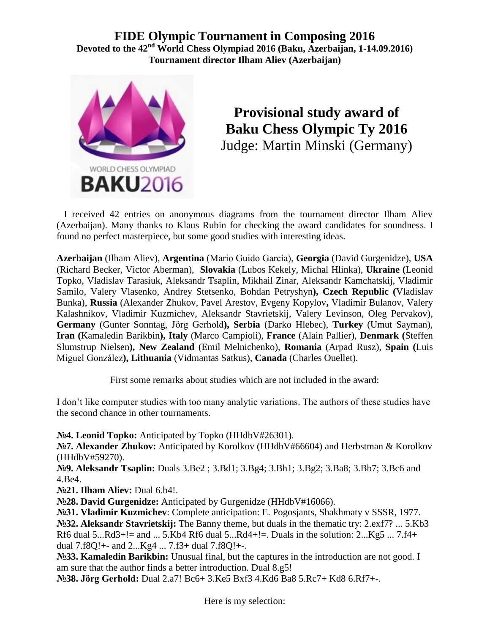**FIDE Olympic Tournament in Composing 2016 Devoted to the 42nd World Chess Olympiad 2016 (Baku, Azerbaijan, 1-14.09.2016) Tournament director Ilham Aliev (Azerbaijan)**



**Provisional study award of Baku Chess Olympic Ty 2016** Judge: Martin Minski (Germany)

 I received 42 entries on anonymous diagrams from the tournament director Ilham Aliev (Azerbaijan). Many thanks to Klaus Rubin for checking the award candidates for soundness. I found no perfect masterpiece, but some good studies with interesting ideas.

**Azerbaijan** (Ilham Aliev), **Argentina** (Mario Guido García), **Georgia** (David Gurgenidze), **USA** (Richard Becker, Victor Aberman), **Slovakia** (Lubos Kekely, Michal Hlinka), **Ukraine (**Leonid Topko, Vladislav Tarasiuk, Aleksandr Tsaplin, Mikhail Zinar, Aleksandr Kamchatskij, Vladimir Samilo, Valery Vlasenko, Andrey Stetsenko, Bohdan Petryshyn**), Czech Republic (**Vladislav Bunka), **Russia** (Alexander Zhukov, Pavel Arestov, Evgeny Kopylov**,** Vladimir Bulanov, Valery Kalashnikov, Vladimir Kuzmichev, Aleksandr Stavrietskij, Valery Levinson, Oleg Pervakov), **Germany** (Gunter Sonntag, Jörg Gerhold**), Serbia** (Darko Hlebec), **Turkey** (Umut Sayman), **Iran (**Kamaledin Barikbin**), Italy** (Marco Campioli), **France** (Alain Pallier), **Denmark (**Steffen Slumstrup Nielsen**), New Zealand** (Emil Melnichenko), **Romania** (Arpad Rusz), **Spain (**Luis Miguel González**), Lithuania** (Vidmantas Satkus), **Canada** (Charles Ouellet).

First some remarks about studies which are not included in the award:

I don't like computer studies with too many analytic variations. The authors of these studies have the second chance in other tournaments.

**№4. Leonid Topko:** Anticipated by Topko (HHdbV#26301).

**№7. Alexander Zhukov:** Anticipated by Korolkov (HHdbV#66604) and Herbstman & Korolkov (HHdbV#59270).

**№9. Aleksandr Tsaplin:** Duals 3.Be2 ; 3.Bd1; 3.Bg4; 3.Bh1; 3.Bg2; 3.Ba8; 3.Bb7; 3.Bc6 and 4.Be4.

**№21. Ilham Aliev:** Dual 6.b4!.

**№28. David Gurgenidze:** Anticipated by Gurgenidze (HHdbV#16066).

**№31. Vladimir Kuzmichev**: Complete anticipation: E. Pogosjants, Shakhmaty v SSSR, 1977. **№32. Aleksandr Stavrietskij:** The Banny theme, but duals in the thematic try: 2.exf7? ... 5.Kb3 Rf6 dual 5...Rd3+!= and ... 5.Kb4 Rf6 dual 5...Rd4+!=. Duals in the solution:  $2...Kg5...7.14+$ dual 7.f8Q!+- and 2...Kg4 ... 7.f3+ dual 7.f8Q!+-.

**№33. Kamaledin Barikbin:** Unusual final, but the captures in the introduction are not good. I am sure that the author finds a better introduction. Dual 8.g5!

**№38. Jörg Gerhold:** Dual 2.a7! Bc6+ 3.Ke5 Bxf3 4.Kd6 Ba8 5.Rc7+ Kd8 6.Rf7+-.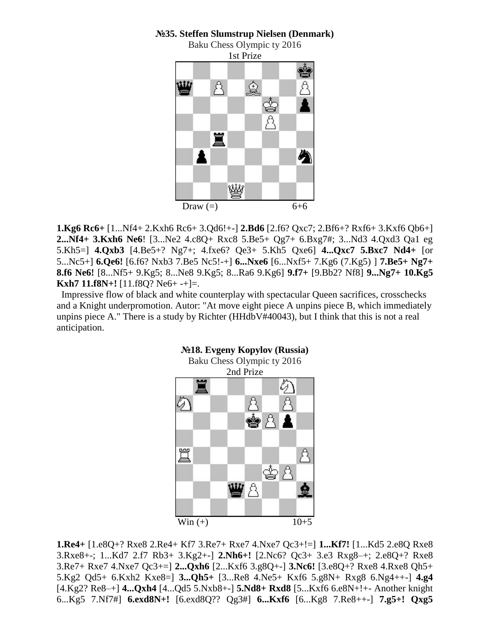## **№35. Steffen Slumstrup Nielsen (Denmark)**



**1.Kg6 Rc6+** [1...Nf4+ 2.Kxh6 Rc6+ 3.Qd6!+-] **2.Bd6** [2.f6? Qxc7; 2.Bf6+? Rxf6+ 3.Kxf6 Qb6+] **2...Nf4+ 3.Kxh6 Ne6**! [3...Ne2 4.c8Q+ Rxc8 5.Be5+ Qg7+ 6.Bxg7#; 3...Nd3 4.Qxd3 Qa1 eg 5.Kh5=] **4.Qxb3** [4.Be5+? Ng7+; 4.fxe6? Qe3+ 5.Kh5 Qxe6] **4...Qxc7 5.Bxc7 Nd4+** [or 5...Nc5+] **6.Qe6!** [6.f6? Nxb3 7.Be5 Nc5!-+] **6...Nxe6** [6...Nxf5+ 7.Kg6 (7.Kg5) ] **7.Be5+ Ng7+ 8.f6 Ne6!** [8...Nf5+ 9.Kg5; 8...Ne8 9.Kg5; 8...Ra6 9.Kg6] **9.f7+** [9.Bb2? Nf8] **9...Ng7+ 10.Kg5 Kxh7 11.f8N+!** [11.f8Q? Ne6+ -+]=.

 Impressive flow of black and white counterplay with spectacular Queen sacrifices, crosschecks and a Knight underpromotion. Autor: "At move eight piece A unpins piece B, which immediately unpins piece A." There is a study by Richter (HHdbV#40043), but I think that this is not a real anticipation.



## **1.Re4+** [1.e8Q+? Rxe8 2.Re4+ Kf7 3.Re7+ Rxe7 4.Nxe7 Qc3+!=] **1...Kf7!** [1...Kd5 2.e8Q Rxe8 3.Rxe8+-; 1...Kd7 2.f7 Rb3+ 3.Kg2+-] **2.Nh6+!** [2.Nc6? Qc3+ 3.e3 Rxg8–+; 2.e8Q+? Rxe8 3.Re7+ Rxe7 4.Nxe7 Qc3+=] **2...Qxh6** [2...Kxf6 3.g8Q+-] **3.Nc6!** [3.e8Q+? Rxe8 4.Rxe8 Qh5+ 5.Kg2 Qd5+ 6.Kxh2 Kxe8=] **3...Qh5+** [3...Re8 4.Ne5+ Kxf6 5.g8N+ Rxg8 6.Ng4++-] **4.g4**  [4.Kg2? Re8–+] **4...Qxh4** [4...Qd5 5.Nxb8+-] **5.Nd8+ Rxd8** [5...Kxf6 6.e8N+!+- Another knight 6...Kg5 7.Nf7#] **6.exd8N+!** [6.exd8Q?? Qg3#] **6...Kxf6** [6...Kg8 7.Re8++-] **7.g5+! Qxg5**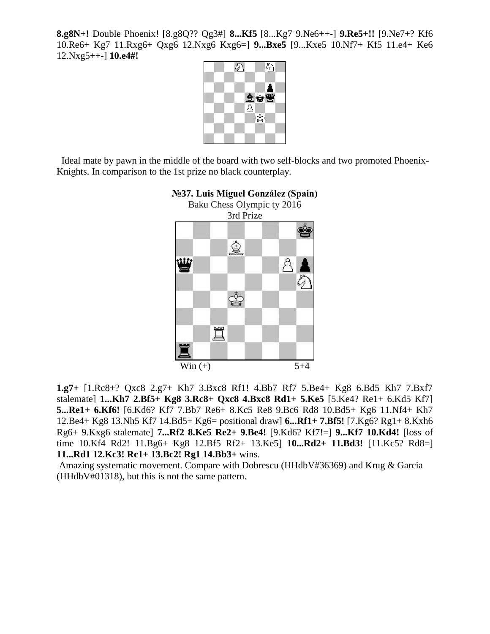**8.g8N+!** Double Phoenix! [8.g8Q?? Qg3#] **8...Kf5** [8...Kg7 9.Ne6++-] **9.Re5+!!** [9.Ne7+? Kf6 10.Re6+ Kg7 11.Rxg6+ Qxg6 12.Nxg6 Kxg6=] **9...Bxe5** [9...Kxe5 10.Nf7+ Kf5 11.e4+ Ke6 12.Nxg5++-] **10.e4#!** 



 Ideal mate by pawn in the middle of the board with two self-blocks and two promoted Phoenix-Knights. In comparison to the 1st prize no black counterplay.



## **№37. Luis Miguel González (Spain)**

**1.g7+** [1.Rc8+? Qxc8 2.g7+ Kh7 3.Bxc8 Rf1! 4.Bb7 Rf7 5.Be4+ Kg8 6.Bd5 Kh7 7.Bxf7 stalemate] **1...Kh7 2.Bf5+ Kg8 3.Rc8+ Qxc8 4.Bxc8 Rd1+ 5.Ke5** [5.Ke4? Re1+ 6.Kd5 Kf7] **5...Re1+ 6.Kf6!** [6.Kd6? Kf7 7.Bb7 Re6+ 8.Kc5 Re8 9.Bc6 Rd8 10.Bd5+ Kg6 11.Nf4+ Kh7 12.Be4+ Kg8 13.Nh5 Kf7 14.Bd5+ Kg6= positional draw] **6...Rf1+ 7.Bf5!** [7.Kg6? Rg1+ 8.Kxh6 Rg6+ 9.Kxg6 stalemate] **7...Rf2 8.Ke5 Re2+ 9.Be4!** [9.Kd6? Kf7!=] **9...Kf7 10.Kd4!** [loss of time 10.Kf4 Rd2! 11.Bg6+ Kg8 12.Bf5 Rf2+ 13.Ke5] **10...Rd2+ 11.Bd3!** [11.Kc5? Rd8=] **11...Rd1 12.Kc3! Rc1+ 13.Bc2! Rg1 14.Bb3+** wins.

Amazing systematic movement. Compare with Dobrescu (HHdbV#36369) and Krug & Garcia (HHdbV#01318), but this is not the same pattern.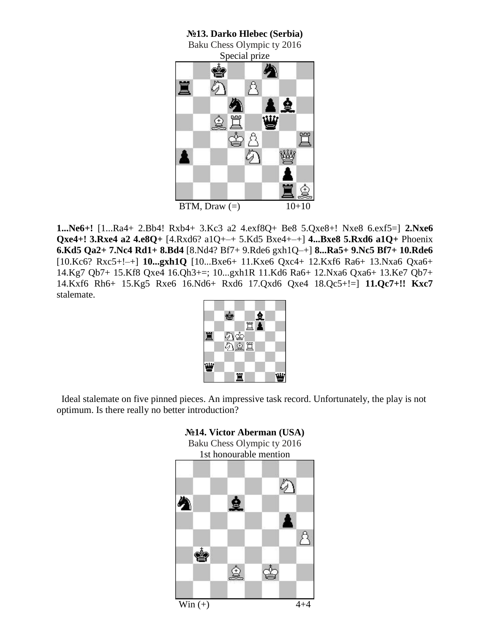**№13. Darko Hlebec (Serbia)** Baku Chess Olympic ty 2016 Special prize ė Å 賞 tî 全 金買 ⋓ фå 罝 剑 ₩ I. BTM, Draw  $(=)$  10+10

**1...Ne6+!** [1...Ra4+ 2.Bb4! Rxb4+ 3.Kc3 a2 4.exf8Q+ Be8 5.Qxe8+! Nxe8 6.exf5=] **2.Nxe6 Qxe4+! 3.Rxe4 a2 4.e8Q+** [4.Rxd6? a1Q+–+ 5.Kd5 Bxe4+–+] **4...Bxe8 5.Rxd6 a1Q+** Phoenix **6.Kd5 Qa2+ 7.Nc4 Rd1+ 8.Bd4** [8.Nd4? Bf7+ 9.Rde6 gxh1Q–+] **8...Ra5+ 9.Nc5 Bf7+ 10.Rde6**  [10.Kc6? Rxc5+!–+] **10...gxh1Q** [10...Bxe6+ 11.Kxe6 Qxc4+ 12.Kxf6 Ra6+ 13.Nxa6 Qxa6+ 14.Kg7 Qb7+ 15.Kf8 Qxe4 16.Qh3+=; 10...gxh1R 11.Kd6 Ra6+ 12.Nxa6 Qxa6+ 13.Ke7 Qb7+ 14.Kxf6 Rh6+ 15.Kg5 Rxe6 16.Nd6+ Rxd6 17.Qxd6 Qxe4 18.Qc5+!=] **11.Qc7+!! Kxc7**  stalemate.

|     | ė |           |                                                                                                                                                                                                                                                                                                                                               |  |
|-----|---|-----------|-----------------------------------------------------------------------------------------------------------------------------------------------------------------------------------------------------------------------------------------------------------------------------------------------------------------------------------------------|--|
| 罝   |   |           | $\begin{picture}(20,20) \put(0,0){\line(1,0){155}} \put(15,0){\line(1,0){155}} \put(15,0){\line(1,0){155}} \put(15,0){\line(1,0){155}} \put(15,0){\line(1,0){155}} \put(15,0){\line(1,0){155}} \put(15,0){\line(1,0){155}} \put(15,0){\line(1,0){155}} \put(15,0){\line(1,0){155}} \put(15,0){\line(1,0){155}} \put(15,0){\line(1,0){155}} \$ |  |
|     |   | わき<br>わま置 |                                                                                                                                                                                                                                                                                                                                               |  |
| نىڭ |   |           |                                                                                                                                                                                                                                                                                                                                               |  |
|     |   | 賞         |                                                                                                                                                                                                                                                                                                                                               |  |

 Ideal stalemate on five pinned pieces. An impressive task record. Unfortunately, the play is not optimum. Is there really no better introduction?

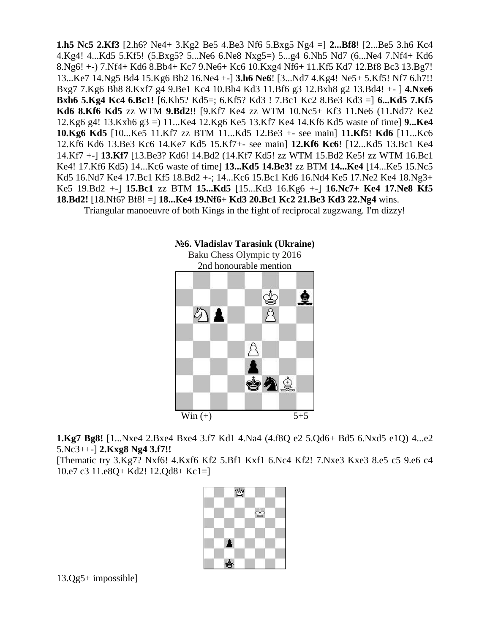**1.h5 Nc5 2.Kf3** [2.h6? Ne4+ 3.Kg2 Be5 4.Be3 Nf6 5.Bxg5 Ng4 =] **2...Bf8**! [2...Be5 3.h6 Kc4 4.Kg4! 4...Kd5 5.Kf5! (5.Bxg5? 5...Ne6 6.Ne8 Nxg5=) 5...g4 6.Nh5 Nd7 (6...Ne4 7.Nf4+ Kd6 8.Ng6! +-) 7.Nf4+ Kd6 8.Bb4+ Kc7 9.Ne6+ Kc6 10.Kxg4 Nf6+ 11.Kf5 Kd7 12.Bf8 Bc3 13.Bg7! 13...Ke7 14.Ng5 Bd4 15.Kg6 Bb2 16.Ne4 +-] **3.h6 Ne6**! [3...Nd7 4.Kg4! Ne5+ 5.Kf5! Nf7 6.h7!! Bxg7 7.Kg6 Bh8 8.Kxf7 g4 9.Be1 Kc4 10.Bh4 Kd3 11.Bf6 g3 12.Bxh8 g2 13.Bd4! +- ] **4.Nxe6 Bxh6 5.Kg4 Kc4 6.Bc1!** [6.Kh5? Kd5=; 6.Kf5? Kd3 ! 7.Bc1 Kc2 8.Be3 Kd3 =] **6...Kd5 7.Kf5 Kd6 8.Kf6 Kd5** zz WTM **9.Bd2**!! [9.Kf7 Ke4 zz WTM 10.Nc5+ Kf3 11.Ne6 (11.Nd7? Ke2 12.Kg6 g4! 13.Kxh6 g3 =) 11...Ke4 12.Kg6 Ke5 13.Kf7 Ke4 14.Kf6 Kd5 waste of time] **9...Ke4 10.Kg6 Kd5** [10...Ke5 11.Kf7 zz BTM 11...Kd5 12.Be3 +- see main] **11.Kf5**! **Kd6** [11...Kc6 12.Kf6 Kd6 13.Be3 Kc6 14.Ke7 Kd5 15.Kf7+- see main] **12.Kf6 Kc6**! [12...Kd5 13.Bc1 Ke4 14.Kf7 +-] **13.Kf7** [13.Be3? Kd6! 14.Bd2 (14.Kf7 Kd5! zz WTM 15.Bd2 Ke5! zz WTM 16.Bc1 Ke4! 17.Kf6 Kd5) 14...Kc6 waste of time] **13...Kd5 14.Be3!** zz BTM **14...Ke4** [14...Ke5 15.Nc5 Kd5 16.Nd7 Ke4 17.Bc1 Kf5 18.Bd2 +-; 14...Kc6 15.Bc1 Kd6 16.Nd4 Ke5 17.Ne2 Ke4 18.Ng3+ Ke5 19.Bd2 +-] **15.Bc1** zz BTM **15...Kd5** [15...Kd3 16.Kg6 +-] **16.Nc7+ Ke4 17.Ne8 Kf5 18.Bd2!** [18.Nf6? Bf8! =] **18...Ke4 19.Nf6+ Kd3 20.Bc1 Kc2 21.Be3 Kd3 22.Ng4** wins.

Triangular manoeuvre of both Kings in the fight of reciprocal zugzwang. I'm dizzy!



**1.Kg7 Bg8!** [1...Nxe4 2.Bxe4 Bxe4 3.f7 Kd1 4.Na4 (4.f8Q e2 5.Qd6+ Bd5 6.Nxd5 e1Q) 4...e2 5.Nc3++-] **2.Kxg8 Ng4 3.f7!!** 

[Thematic try 3.Kg7? Nxf6! 4.Kxf6 Kf2 5.Bf1 Kxf1 6.Nc4 Kf2! 7.Nxe3 Kxe3 8.e5 c5 9.e6 c4 10.e7 c3 11.e8Q+ Kd2! 12.Qd8+ Kc1=]

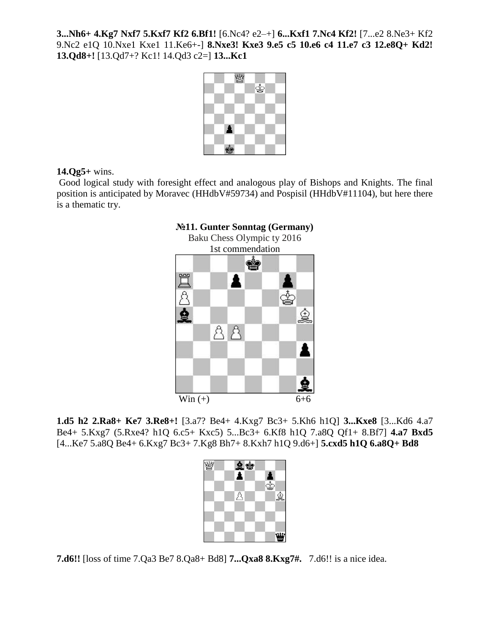**3...Nh6+ 4.Kg7 Nxf7 5.Kxf7 Kf2 6.Bf1!** [6.Nc4? e2–+] **6...Kxf1 7.Nc4 Kf2!** [7...e2 8.Ne3+ Kf2 9.Nc2 e1Q 10.Nxe1 Kxe1 11.Ke6+-] **8.Nxe3! Kxe3 9.e5 c5 10.e6 c4 11.e7 c3 12.e8Q+ Kd2! 13.Qd8+!** [13.Qd7+? Kc1! 14.Qd3 c2=] **13...Kc1** 



## **14.Qg5+** wins.

Good logical study with foresight effect and analogous play of Bishops and Knights. The final position is anticipated by Moravec (HHdbV#59734) and Pospisil (HHdbV#11104), but here there is a thematic try.



**1.d5 h2 2.Ra8+ Ke7 3.Re8+!** [3.a7? Be4+ 4.Kxg7 Bc3+ 5.Kh6 h1Q] **3...Kxe8** [3...Kd6 4.a7 Be4+ 5.Kxg7 (5.Rxe4? h1Q 6.c5+ Kxc5) 5...Bc3+ 6.Kf8 h1Q 7.a8Q Qf1+ 8.Bf7] **4.a7 Bxd5**  [4...Ke7 5.a8Q Be4+ 6.Kxg7 Bc3+ 7.Kg8 Bh7+ 8.Kxh7 h1Q 9.d6+] **5.cxd5 h1Q 6.a8Q+ Bd8** 

| $\frac{1}{2}$<br>Ą | $\frac{1}{2}$<br>$\hat{\mathbb{R}}$ |
|--------------------|-------------------------------------|
|                    | ш                                   |

**7.d6!!** [loss of time 7.Qa3 Be7 8.Qa8+ Bd8] **7...Qxa8 8.Kxg7#.** 7.d6!! is a nice idea.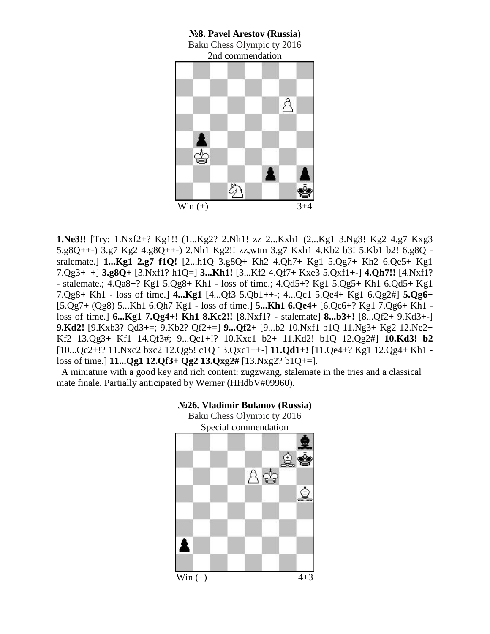

**1.Ne3!!** [Try: 1.Nxf2+? Kg1!! (1...Kg2? 2.Nh1! zz 2...Kxh1 (2...Kg1 3.Ng3! Kg2 4.g7 Kxg3 5.g8Q++-) 3.g7 Kg2 4.g8Q++-) 2.Nh1 Kg2!! zz,wtm 3.g7 Kxh1 4.Kb2 b3! 5.Kb1 b2! 6.g8Q sralemate.] **1...Kg1 2.g7 f1Q!** [2...h1Q 3.g8Q+ Kh2 4.Qh7+ Kg1 5.Qg7+ Kh2 6.Qe5+ Kg1 7.Qg3+–+] **3.g8Q+** [3.Nxf1? h1Q=] **3...Kh1!** [3...Kf2 4.Qf7+ Kxe3 5.Qxf1+-] **4.Qh7!!** [4.Nxf1? - stalemate.; 4.Qa8+? Kg1 5.Qg8+ Kh1 - loss of time.; 4.Qd5+? Kg1 5.Qg5+ Kh1 6.Qd5+ Kg1 7.Qg8+ Kh1 - loss of time.] **4...Kg1** [4...Qf3 5.Qb1++-; 4...Qc1 5.Qe4+ Kg1 6.Qg2#] **5.Qg6+**  [5.Qg7+ (Qg8) 5...Kh1 6.Qh7 Kg1 - loss of time.] **5...Kh1 6.Qe4+** [6.Qc6+? Kg1 7.Qg6+ Kh1 loss of time.] **6...Kg1 7.Qg4+! Kh1 8.Kc2!!** [8.Nxf1? - stalemate] **8...b3+!** [8...Qf2+ 9.Kd3+-] **9.Kd2!** [9.Kxb3? Qd3+=; 9.Kb2? Qf2+=] **9...Qf2+** [9...b2 10.Nxf1 b1Q 11.Ng3+ Kg2 12.Ne2+ Kf2 13.Qg3+ Kf1 14.Qf3#; 9...Qc1+!? 10.Kxc1 b2+ 11.Kd2! b1Q 12.Qg2#] **10.Kd3! b2**  [10...Qc2+!? 11.Nxc2 bxc2 12.Qg5! c1Q 13.Qxc1++-] **11.Qd1+!** [11.Qe4+? Kg1 12.Qg4+ Kh1 loss of time.] **11...Qg1 12.Qf3+ Qg2 13.Qxg2#** [13.Nxg2? b1Q+=].

 A miniature with a good key and rich content: zugzwang, stalemate in the tries and a classical mate finale. Partially anticipated by Werner (HHdbV#09960).